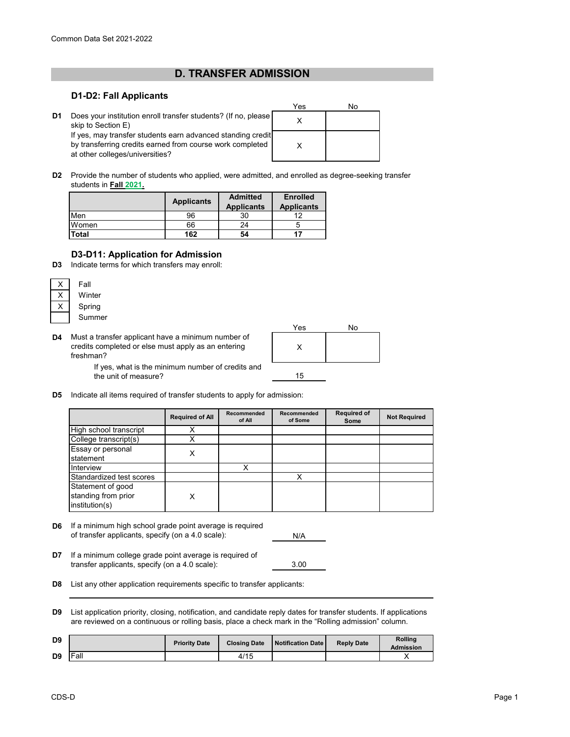# **D. TRANSFER ADMISSION**

#### **D1-D2: Fall Applicants**

|    |                                                                                                                                                             | Yes |  |
|----|-------------------------------------------------------------------------------------------------------------------------------------------------------------|-----|--|
| D1 | Does your institution enroll transfer students? (If no, please<br>skip to Section E)                                                                        |     |  |
|    | If yes, may transfer students earn advanced standing credit<br>by transferring credits earned from course work completed<br>at other colleges/universities? |     |  |

**D2** Provide the number of students who applied, were admitted, and enrolled as degree-seeking transfer students in **Fall 2021.**

|              | <b>Applicants</b> | <b>Admitted</b><br><b>Applicants</b> | <b>Enrolled</b><br><b>Applicants</b> |  |
|--------------|-------------------|--------------------------------------|--------------------------------------|--|
| Men          | 96                | 30                                   | 10                                   |  |
| Women        | 66                | 24                                   |                                      |  |
| <b>Total</b> | 162               | 54                                   |                                      |  |

### **D3-D11: Application for Admission**

**D3** Indicate terms for which transfers may enroll:

| Fall   |
|--------|
| Winter |
| Spring |
| Summer |

**D4** Must a transfer applicant have a minimum number of credits completed or else must apply as an entering freshman?



If yes, what is the minimum number of credits and the unit of measure?

**D5** Indicate all items required of transfer students to apply for admission:

|                                                            | <b>Required of All</b> | Recommended<br>of All | Recommended<br>of Some | <b>Required of</b><br>Some | <b>Not Required</b> |
|------------------------------------------------------------|------------------------|-----------------------|------------------------|----------------------------|---------------------|
| High school transcript                                     |                        |                       |                        |                            |                     |
| College transcript(s)                                      |                        |                       |                        |                            |                     |
| Essay or personal<br>statement                             | х                      |                       |                        |                            |                     |
| Interview                                                  |                        | X                     |                        |                            |                     |
| Standardized test scores                                   |                        |                       |                        |                            |                     |
| Statement of good<br>standing from prior<br>institution(s) | Χ                      |                       |                        |                            |                     |

- **D6** If a minimum high school grade point average is required of transfer applicants, specify (on a 4.0 scale):
- N/A

3.00

- **D7** If a minimum college grade point average is required of transfer applicants, specify (on a 4.0 scale):
- **D8** List any other application requirements specific to transfer applicants:
- **D9** List application priority, closing, notification, and candidate reply dates for transfer students. If applications are reviewed on a continuous or rolling basis, place a check mark in the "Rolling admission" column.

| D <sub>9</sub> |      | <b>Priority Date</b> | <b>Closing Date</b> | <b>Notification Date</b> | <b>Reply Date</b> | <b>Rolling</b><br>Admission |
|----------------|------|----------------------|---------------------|--------------------------|-------------------|-----------------------------|
| D <sub>9</sub> | Fall |                      | 4/15                |                          |                   |                             |